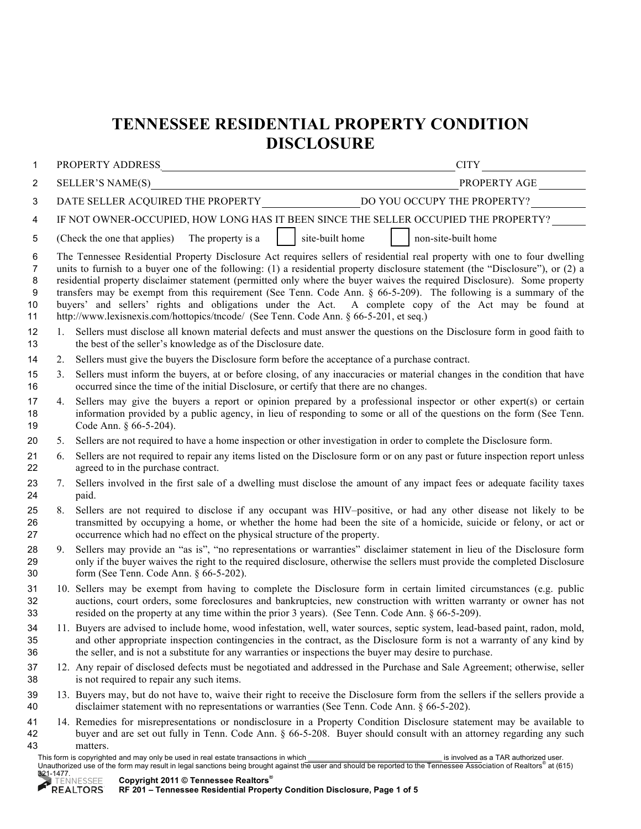## **TENNESSEE RESIDENTIAL PROPERTY CONDITION DISCLOSURE**

| 1                                           |                                                                                                                                                                                                                                                                                                                                                                                                                                                                                                                                                                                                                                                                                                                   | CITY                                                                                                                                                                                                                                                                                                                                           |  |  |  |  |  |  |
|---------------------------------------------|-------------------------------------------------------------------------------------------------------------------------------------------------------------------------------------------------------------------------------------------------------------------------------------------------------------------------------------------------------------------------------------------------------------------------------------------------------------------------------------------------------------------------------------------------------------------------------------------------------------------------------------------------------------------------------------------------------------------|------------------------------------------------------------------------------------------------------------------------------------------------------------------------------------------------------------------------------------------------------------------------------------------------------------------------------------------------|--|--|--|--|--|--|
| 2                                           |                                                                                                                                                                                                                                                                                                                                                                                                                                                                                                                                                                                                                                                                                                                   |                                                                                                                                                                                                                                                                                                                                                |  |  |  |  |  |  |
| 3                                           |                                                                                                                                                                                                                                                                                                                                                                                                                                                                                                                                                                                                                                                                                                                   |                                                                                                                                                                                                                                                                                                                                                |  |  |  |  |  |  |
| 4                                           | IF NOT OWNER-OCCUPIED, HOW LONG HAS IT BEEN SINCE THE SELLER OCCUPIED THE PROPERTY?                                                                                                                                                                                                                                                                                                                                                                                                                                                                                                                                                                                                                               |                                                                                                                                                                                                                                                                                                                                                |  |  |  |  |  |  |
| 5                                           | site-built home<br>The property is a<br>non-site-built home<br>(Check the one that applies)                                                                                                                                                                                                                                                                                                                                                                                                                                                                                                                                                                                                                       |                                                                                                                                                                                                                                                                                                                                                |  |  |  |  |  |  |
| 6<br>7<br>8<br>$\boldsymbol{9}$<br>10<br>11 | The Tennessee Residential Property Disclosure Act requires sellers of residential real property with one to four dwelling<br>units to furnish to a buyer one of the following: (1) a residential property disclosure statement (the "Disclosure"), or (2) a<br>residential property disclaimer statement (permitted only where the buyer waives the required Disclosure). Some property<br>transfers may be exempt from this requirement (See Tenn. Code Ann. $\S$ 66-5-209). The following is a summary of the<br>buyers' and sellers' rights and obligations under the Act. A complete copy of the Act may be found at<br>http://www.lexisnexis.com/hottopics/tncode/ (See Tenn. Code Ann. § 66-5-201, et seq.) |                                                                                                                                                                                                                                                                                                                                                |  |  |  |  |  |  |
| 12<br>13                                    | $1_{-}$                                                                                                                                                                                                                                                                                                                                                                                                                                                                                                                                                                                                                                                                                                           | Sellers must disclose all known material defects and must answer the questions on the Disclosure form in good faith to<br>the best of the seller's knowledge as of the Disclosure date.                                                                                                                                                        |  |  |  |  |  |  |
| 14                                          | 2.                                                                                                                                                                                                                                                                                                                                                                                                                                                                                                                                                                                                                                                                                                                | Sellers must give the buyers the Disclosure form before the acceptance of a purchase contract.                                                                                                                                                                                                                                                 |  |  |  |  |  |  |
| 15<br>16                                    | 3.                                                                                                                                                                                                                                                                                                                                                                                                                                                                                                                                                                                                                                                                                                                | Sellers must inform the buyers, at or before closing, of any inaccuracies or material changes in the condition that have<br>occurred since the time of the initial Disclosure, or certify that there are no changes.                                                                                                                           |  |  |  |  |  |  |
| 17<br>18<br>19                              | Sellers may give the buyers a report or opinion prepared by a professional inspector or other expert(s) or certain<br>4.<br>information provided by a public agency, in lieu of responding to some or all of the questions on the form (See Tenn.<br>Code Ann. § 66-5-204).                                                                                                                                                                                                                                                                                                                                                                                                                                       |                                                                                                                                                                                                                                                                                                                                                |  |  |  |  |  |  |
| 20                                          | 5.                                                                                                                                                                                                                                                                                                                                                                                                                                                                                                                                                                                                                                                                                                                | Sellers are not required to have a home inspection or other investigation in order to complete the Disclosure form.                                                                                                                                                                                                                            |  |  |  |  |  |  |
| 21<br>22                                    | 6.                                                                                                                                                                                                                                                                                                                                                                                                                                                                                                                                                                                                                                                                                                                | Sellers are not required to repair any items listed on the Disclosure form or on any past or future inspection report unless<br>agreed to in the purchase contract.                                                                                                                                                                            |  |  |  |  |  |  |
| 23<br>24                                    | 7.                                                                                                                                                                                                                                                                                                                                                                                                                                                                                                                                                                                                                                                                                                                | Sellers involved in the first sale of a dwelling must disclose the amount of any impact fees or adequate facility taxes<br>paid.                                                                                                                                                                                                               |  |  |  |  |  |  |
| 25<br>26<br>27                              | 8.                                                                                                                                                                                                                                                                                                                                                                                                                                                                                                                                                                                                                                                                                                                | Sellers are not required to disclose if any occupant was HIV-positive, or had any other disease not likely to be<br>transmitted by occupying a home, or whether the home had been the site of a homicide, suicide or felony, or act or<br>occurrence which had no effect on the physical structure of the property.                            |  |  |  |  |  |  |
| 28<br>29<br>30                              | Sellers may provide an "as is", "no representations or warranties" disclaimer statement in lieu of the Disclosure form<br>9.<br>only if the buyer waives the right to the required disclosure, otherwise the sellers must provide the completed Disclosure<br>form (See Tenn. Code Ann. § 66-5-202).                                                                                                                                                                                                                                                                                                                                                                                                              |                                                                                                                                                                                                                                                                                                                                                |  |  |  |  |  |  |
| 31<br>32<br>33                              |                                                                                                                                                                                                                                                                                                                                                                                                                                                                                                                                                                                                                                                                                                                   | 10. Sellers may be exempt from having to complete the Disclosure form in certain limited circumstances (e.g. public<br>auctions, court orders, some foreclosures and bankruptcies, new construction with written warranty or owner has not<br>resided on the property at any time within the prior 3 years). (See Tenn. Code Ann. § 66-5-209). |  |  |  |  |  |  |
| 34<br>35<br>36                              | 11. Buyers are advised to include home, wood infestation, well, water sources, septic system, lead-based paint, radon, mold,<br>and other appropriate inspection contingencies in the contract, as the Disclosure form is not a warranty of any kind by<br>the seller, and is not a substitute for any warranties or inspections the buyer may desire to purchase.                                                                                                                                                                                                                                                                                                                                                |                                                                                                                                                                                                                                                                                                                                                |  |  |  |  |  |  |
| 37<br>38                                    | 12. Any repair of disclosed defects must be negotiated and addressed in the Purchase and Sale Agreement; otherwise, seller<br>is not required to repair any such items.                                                                                                                                                                                                                                                                                                                                                                                                                                                                                                                                           |                                                                                                                                                                                                                                                                                                                                                |  |  |  |  |  |  |
| 39<br>40                                    |                                                                                                                                                                                                                                                                                                                                                                                                                                                                                                                                                                                                                                                                                                                   | 13. Buyers may, but do not have to, waive their right to receive the Disclosure form from the sellers if the sellers provide a<br>disclaimer statement with no representations or warranties (See Tenn. Code Ann. § 66-5-202).                                                                                                                 |  |  |  |  |  |  |
| 41<br>42                                    |                                                                                                                                                                                                                                                                                                                                                                                                                                                                                                                                                                                                                                                                                                                   | 14. Remedies for misrepresentations or nondisclosure in a Property Condition Disclosure statement may be available to<br>buyer and are set out fully in Tenn. Code Ann. § 66-5-208. Buyer should consult with an attorney regarding any such                                                                                                   |  |  |  |  |  |  |



This form is copyrighted and may only be used in real estate transactions in which \_\_\_\_\_\_\_\_\_\_\_\_\_\_\_\_\_\_\_\_\_\_\_\_\_\_\_\_\_\_\_\_\_ is involved as a TAR authorized user. Unauthorized use of the form may result in legal sanctions being brought against the user and should be reported to the Tennessee Association of Realtors® at (615) 321-1477.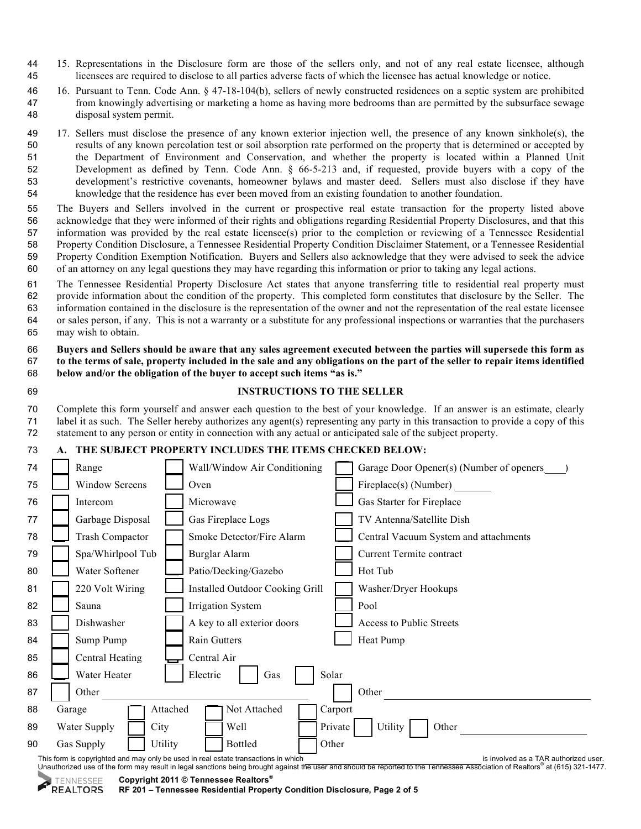- 15. Representations in the Disclosure form are those of the sellers only, and not of any real estate licensee, although licensees are required to disclose to all parties adverse facts of which the licensee has actual knowledge or notice.
- 16. Pursuant to Tenn. Code Ann. § 47-18-104(b), sellers of newly constructed residences on a septic system are prohibited from knowingly advertising or marketing a home as having more bedrooms than are permitted by the subsurface sewage disposal system permit.

 17. Sellers must disclose the presence of any known exterior injection well, the presence of any known sinkhole(s), the results of any known percolation test or soil absorption rate performed on the property that is determined or accepted by the Department of Environment and Conservation, and whether the property is located within a Planned Unit Development as defined by Tenn. Code Ann. § 66-5-213 and, if requested, provide buyers with a copy of the development's restrictive covenants, homeowner bylaws and master deed. Sellers must also disclose if they have knowledge that the residence has ever been moved from an existing foundation to another foundation.

 The Buyers and Sellers involved in the current or prospective real estate transaction for the property listed above acknowledge that they were informed of their rights and obligations regarding Residential Property Disclosures, and that this information was provided by the real estate licensee(s) prior to the completion or reviewing of a Tennessee Residential Property Condition Disclosure, a Tennessee Residential Property Condition Disclaimer Statement, or a Tennessee Residential Property Condition Exemption Notification. Buyers and Sellers also acknowledge that they were advised to seek the advice of an attorney on any legal questions they may have regarding this information or prior to taking any legal actions.

 The Tennessee Residential Property Disclosure Act states that anyone transferring title to residential real property must provide information about the condition of the property. This completed form constitutes that disclosure by the Seller. The information contained in the disclosure is the representation of the owner and not the representation of the real estate licensee or sales person, if any. This is not a warranty or a substitute for any professional inspections or warranties that the purchasers may wish to obtain.

 **Buyers and Sellers should be aware that any sales agreement executed between the parties will supersede this form as to the terms of sale, property included in the sale and any obligations on the part of the seller to repair items identified below and/or the obligation of the buyer to accept such items "as is."**

|   | ۰, |
|---|----|
| ۹ |    |

## **INSTRUCTIONS TO THE SELLER**

 Complete this form yourself and answer each question to the best of your knowledge. If an answer is an estimate, clearly label it as such. The Seller hereby authorizes any agent(s) representing any party in this transaction to provide a copy of this statement to any person or entity in connection with any actual or anticipated sale of the subject property.

## **A. THE SUBJECT PROPERTY INCLUDES THE ITEMS CHECKED BELOW:**

| 74 | Range                  |                | Wall/Window Air Conditioning                                                       |         | Garage Door Opener(s) (Number of openers |
|----|------------------------|----------------|------------------------------------------------------------------------------------|---------|------------------------------------------|
| 75 | <b>Window Screens</b>  |                | Oven                                                                               |         | Fireplace(s) (Number)                    |
| 76 | Intercom               |                | Microwave                                                                          |         | Gas Starter for Fireplace                |
| 77 | Garbage Disposal       |                | Gas Fireplace Logs                                                                 |         | TV Antenna/Satellite Dish                |
| 78 | <b>Trash Compactor</b> |                | Smoke Detector/Fire Alarm                                                          |         | Central Vacuum System and attachments    |
| 79 | Spa/Whirlpool Tub      |                | <b>Burglar Alarm</b>                                                               |         | Current Termite contract                 |
| 80 | Water Softener         |                | Patio/Decking/Gazebo                                                               |         | Hot Tub                                  |
| 81 | 220 Volt Wiring        |                | <b>Installed Outdoor Cooking Grill</b>                                             |         | Washer/Dryer Hookups                     |
| 82 | Sauna                  |                | <b>Irrigation System</b>                                                           |         | Pool                                     |
| 83 | Dishwasher             |                | A key to all exterior doors                                                        |         | Access to Public Streets                 |
| 84 | Sump Pump              |                | Rain Gutters                                                                       |         | Heat Pump                                |
| 85 | Central Heating        |                | Central Air                                                                        |         |                                          |
| 86 | Water Heater           |                | Electric<br>Gas                                                                    | Solar   |                                          |
| 87 | Other                  |                |                                                                                    |         | Other                                    |
| 88 | Garage                 | Attached       | Not Attached                                                                       | Carport |                                          |
| 89 | Water Supply<br>City   |                | Well                                                                               | Private | Utility<br>Other                         |
| 90 | Gas Supply             | <b>Utility</b> | <b>Bottled</b>                                                                     | Other   |                                          |
|    |                        |                | This form is copyrighted and may only be used in real estate transactions in which |         | is involved as a TAR authorized u        |

This form is copyrighted and may only be used in real estate transactions in which<br>Unauthorized use of the form may result in legal sanctions being brought against the user and should be reported to the Tennessee Associati

**Copyright 2011 © Tennessee Realtors® TENNESSEE REALTORS** 

**RF 201 – Tennessee Residential Property Condition Disclosure, Page 2 of 5**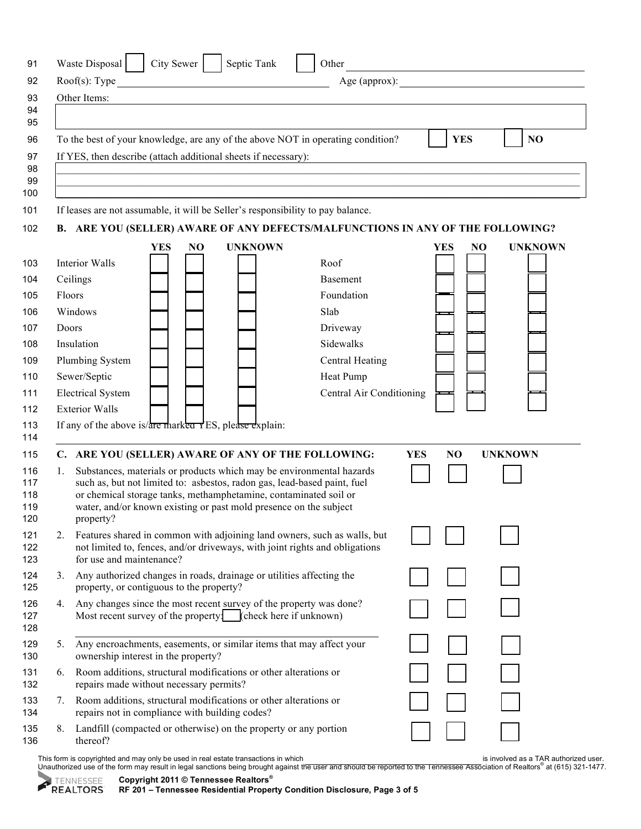|    | City Sewer<br>Waste Disposal  <br>Septic Tank                                                                                                           | Other                    |                  | the control of the control of the control of the control of the control of the |
|----|---------------------------------------------------------------------------------------------------------------------------------------------------------|--------------------------|------------------|--------------------------------------------------------------------------------|
|    | $Root(s)$ : Type                                                                                                                                        |                          |                  | Age (approx):                                                                  |
|    | Other Items:                                                                                                                                            |                          |                  |                                                                                |
|    |                                                                                                                                                         |                          |                  |                                                                                |
|    | To the best of your knowledge, are any of the above NOT in operating condition?                                                                         |                          | <b>YES</b>       | NO                                                                             |
|    |                                                                                                                                                         |                          |                  |                                                                                |
|    | If YES, then describe (attach additional sheets if necessary):                                                                                          |                          |                  |                                                                                |
|    |                                                                                                                                                         |                          |                  |                                                                                |
|    |                                                                                                                                                         |                          |                  |                                                                                |
|    | If leases are not assumable, it will be Seller's responsibility to pay balance.                                                                         |                          |                  |                                                                                |
|    | B. ARE YOU (SELLER) AWARE OF ANY DEFECTS/MALFUNCTIONS IN ANY OF THE FOLLOWING?                                                                          |                          |                  |                                                                                |
|    | NO.<br><b>UNKNOWN</b><br><b>YES</b>                                                                                                                     |                          | YES              | <b>UNKNOWN</b><br>NO                                                           |
|    | Interior Walls                                                                                                                                          | Roof                     |                  |                                                                                |
|    | Ceilings                                                                                                                                                | <b>Basement</b>          |                  |                                                                                |
|    | Floors                                                                                                                                                  | Foundation               |                  |                                                                                |
|    | Windows                                                                                                                                                 | Slab                     |                  |                                                                                |
|    | Doors                                                                                                                                                   | Driveway                 |                  |                                                                                |
|    | Insulation                                                                                                                                              | Sidewalks                |                  |                                                                                |
|    | Plumbing System                                                                                                                                         | Central Heating          |                  |                                                                                |
|    | Sewer/Septic                                                                                                                                            | Heat Pump                |                  |                                                                                |
|    | <b>Electrical System</b>                                                                                                                                | Central Air Conditioning |                  |                                                                                |
|    | <b>Exterior Walls</b>                                                                                                                                   |                          |                  |                                                                                |
|    | If any of the above is/ $\frac{1}{\text{area}}$ marked $\frac{1}{\text{res}}$ hease explain:                                                            |                          |                  |                                                                                |
|    |                                                                                                                                                         |                          |                  |                                                                                |
|    |                                                                                                                                                         |                          |                  |                                                                                |
|    | C. ARE YOU (SELLER) AWARE OF ANY OF THE FOLLOWING:                                                                                                      |                          | <b>YES</b><br>NO | <b>UNKNOWN</b>                                                                 |
| 1. | Substances, materials or products which may be environmental hazards<br>such as, but not limited to: asbestos, radon gas, lead-based paint, fuel        |                          |                  |                                                                                |
|    | or chemical storage tanks, methamphetamine, contaminated soil or                                                                                        |                          |                  |                                                                                |
|    | water, and/or known existing or past mold presence on the subject                                                                                       |                          |                  |                                                                                |
| 2. | property?                                                                                                                                               |                          |                  |                                                                                |
|    | Features shared in common with adjoining land owners, such as walls, but<br>not limited to, fences, and/or driveways, with joint rights and obligations |                          |                  |                                                                                |
|    | for use and maintenance?                                                                                                                                |                          |                  |                                                                                |
|    | 3. Any authorized changes in roads, drainage or utilities affecting the                                                                                 |                          |                  |                                                                                |
|    | property, or contiguous to the property?                                                                                                                |                          |                  |                                                                                |
| 4. | Any changes since the most recent survey of the property was done?<br>Most recent survey of the property: (check here if unknown)                       |                          |                  |                                                                                |
|    |                                                                                                                                                         |                          |                  |                                                                                |
| 5. | Any encroachments, easements, or similar items that may affect your                                                                                     |                          |                  |                                                                                |
|    | ownership interest in the property?                                                                                                                     |                          |                  |                                                                                |
| 6. | Room additions, structural modifications or other alterations or<br>repairs made without necessary permits?                                             |                          |                  |                                                                                |
| 7. | Room additions, structural modifications or other alterations or                                                                                        |                          |                  |                                                                                |
|    | repairs not in compliance with building codes?                                                                                                          |                          |                  |                                                                                |

This form is copyrighted and may only be used in real estate transactions in which<br>Unauthorized use of the form may result in legal sanctions being brought against the user and should be reported to the Tennessee Associati

**Copyright 2011 © Tennessee Realtors®** 

**RF 201 – Tennessee Residential Property Condition Disclosure, Page 3 of 5**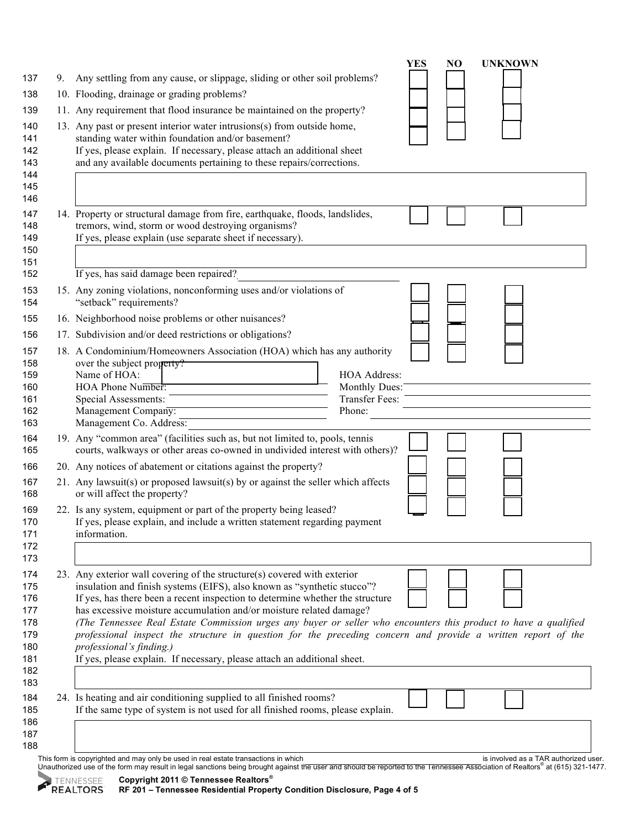|                                        | NO<br><b>UNKNOWN</b><br><b>YES</b>                                                                                                                                                                                                                                                                                                                                                                                                                                                                                                                                                                                                                     |
|----------------------------------------|--------------------------------------------------------------------------------------------------------------------------------------------------------------------------------------------------------------------------------------------------------------------------------------------------------------------------------------------------------------------------------------------------------------------------------------------------------------------------------------------------------------------------------------------------------------------------------------------------------------------------------------------------------|
| 137<br>9.                              | Any settling from any cause, or slippage, sliding or other soil problems?                                                                                                                                                                                                                                                                                                                                                                                                                                                                                                                                                                              |
| 138                                    | 10. Flooding, drainage or grading problems?                                                                                                                                                                                                                                                                                                                                                                                                                                                                                                                                                                                                            |
| 139                                    | 11. Any requirement that flood insurance be maintained on the property?                                                                                                                                                                                                                                                                                                                                                                                                                                                                                                                                                                                |
| 140<br>141<br>142<br>143<br>144<br>145 | 13. Any past or present interior water intrusions(s) from outside home,<br>standing water within foundation and/or basement?<br>If yes, please explain. If necessary, please attach an additional sheet<br>and any available documents pertaining to these repairs/corrections.                                                                                                                                                                                                                                                                                                                                                                        |
|                                        |                                                                                                                                                                                                                                                                                                                                                                                                                                                                                                                                                                                                                                                        |
|                                        | 14. Property or structural damage from fire, earthquake, floods, landslides,<br>tremors, wind, storm or wood destroying organisms?<br>If yes, please explain (use separate sheet if necessary).                                                                                                                                                                                                                                                                                                                                                                                                                                                        |
|                                        | If yes, has said damage been repaired?                                                                                                                                                                                                                                                                                                                                                                                                                                                                                                                                                                                                                 |
|                                        | 15. Any zoning violations, nonconforming uses and/or violations of<br>"setback" requirements?                                                                                                                                                                                                                                                                                                                                                                                                                                                                                                                                                          |
|                                        | 16. Neighborhood noise problems or other nuisances?                                                                                                                                                                                                                                                                                                                                                                                                                                                                                                                                                                                                    |
|                                        | 17. Subdivision and/or deed restrictions or obligations?                                                                                                                                                                                                                                                                                                                                                                                                                                                                                                                                                                                               |
| 158<br>159<br>160                      | 18. A Condominium/Homeowners Association (HOA) which has any authority<br>over the subject property?<br>Name of HOA:<br><b>HOA Address:</b><br>HOA Phone Number:<br>Monthly Dues:<br><b>Transfer Fees:</b><br>Special Assessments:<br>Management Company:<br>Phone:<br>Management Co. Address:                                                                                                                                                                                                                                                                                                                                                         |
|                                        | 19. Any "common area" (facilities such as, but not limited to, pools, tennis<br>courts, walkways or other areas co-owned in undivided interest with others)?                                                                                                                                                                                                                                                                                                                                                                                                                                                                                           |
|                                        | 20. Any notices of abatement or citations against the property?                                                                                                                                                                                                                                                                                                                                                                                                                                                                                                                                                                                        |
|                                        | 21. Any lawsuit(s) or proposed lawsuit(s) by or against the seller which affects<br>or will affect the property?                                                                                                                                                                                                                                                                                                                                                                                                                                                                                                                                       |
|                                        | 22. Is any system, equipment or part of the property being leased?<br>If yes, please explain, and include a written statement regarding payment<br>information.                                                                                                                                                                                                                                                                                                                                                                                                                                                                                        |
|                                        |                                                                                                                                                                                                                                                                                                                                                                                                                                                                                                                                                                                                                                                        |
|                                        | 23. Any exterior wall covering of the structure(s) covered with exterior<br>insulation and finish systems (EIFS), also known as "synthetic stucco"?<br>If yes, has there been a recent inspection to determine whether the structure<br>has excessive moisture accumulation and/or moisture related damage?<br>(The Tennessee Real Estate Commission urges any buyer or seller who encounters this product to have a qualified<br>professional inspect the structure in question for the preceding concern and provide a written report of the<br>professional's finding.)<br>If yes, please explain. If necessary, please attach an additional sheet. |
|                                        | 24. Is heating and air conditioning supplied to all finished rooms?                                                                                                                                                                                                                                                                                                                                                                                                                                                                                                                                                                                    |
|                                        | If the same type of system is not used for all finished rooms, please explain.                                                                                                                                                                                                                                                                                                                                                                                                                                                                                                                                                                         |
|                                        | This form is copyrighted and may only be used in real estate transactions in which<br>is involved as a TAR authorized user.                                                                                                                                                                                                                                                                                                                                                                                                                                                                                                                            |